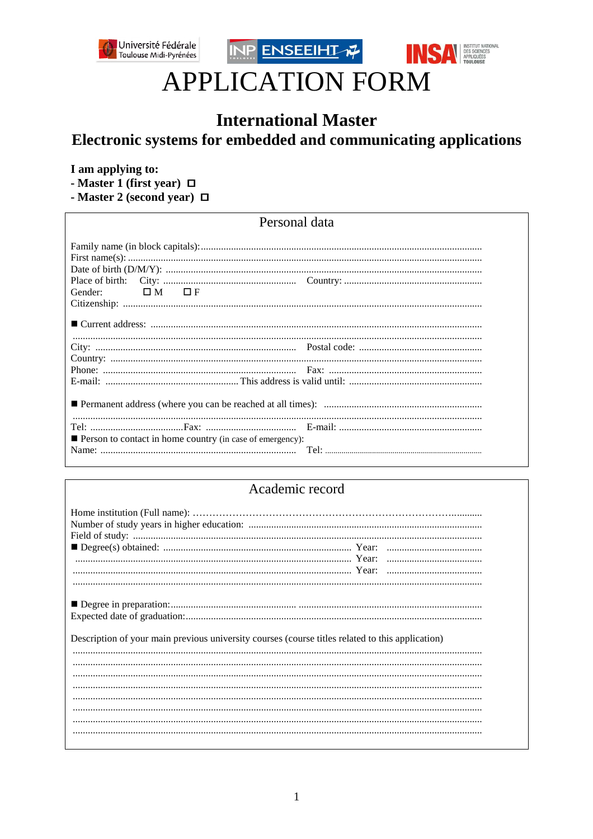





# **APPLICATION FORM**

## **International Master** Electronic systems for embedded and communicating applications

### I am applying to:

- Master 1 (first year)  $\Box$ 

- Master 2 (second year)  $\Box$ 

## Personal data

| OM OF<br>Gender:                                                 |  |  |  |  |
|------------------------------------------------------------------|--|--|--|--|
|                                                                  |  |  |  |  |
|                                                                  |  |  |  |  |
|                                                                  |  |  |  |  |
|                                                                  |  |  |  |  |
|                                                                  |  |  |  |  |
|                                                                  |  |  |  |  |
|                                                                  |  |  |  |  |
|                                                                  |  |  |  |  |
| <b>Person to contact in home country (in case of emergency):</b> |  |  |  |  |
|                                                                  |  |  |  |  |

## Academic record

| Description of your main previous university courses (course titles related to this application) |  |
|--------------------------------------------------------------------------------------------------|--|
|                                                                                                  |  |
|                                                                                                  |  |
|                                                                                                  |  |